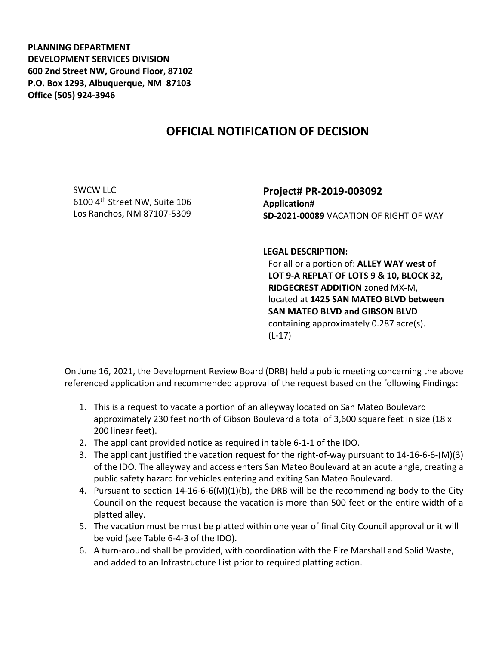**PLANNING DEPARTMENT DEVELOPMENT SERVICES DIVISION 600 2nd Street NW, Ground Floor, 87102 P.O. Box 1293, Albuquerque, NM 87103 Office (505) 924-3946** 

## **OFFICIAL NOTIFICATION OF DECISION**

SWCW LLC 6100 4th Street NW, Suite 106 Los Ranchos, NM 87107-5309 **Project# PR-2019-003092 Application# SD-2021-00089** VACATION OF RIGHT OF WAY

**LEGAL DESCRIPTION:**

For all or a portion of: **ALLEY WAY west of LOT 9-A REPLAT OF LOTS 9 & 10, BLOCK 32, RIDGECREST ADDITION** zoned MX-M, located at **1425 SAN MATEO BLVD between SAN MATEO BLVD and GIBSON BLVD**  containing approximately 0.287 acre(s). (L-17)

On June 16, 2021, the Development Review Board (DRB) held a public meeting concerning the above referenced application and recommended approval of the request based on the following Findings:

- 1. This is a request to vacate a portion of an alleyway located on San Mateo Boulevard approximately 230 feet north of Gibson Boulevard a total of 3,600 square feet in size (18 x 200 linear feet).
- 2. The applicant provided notice as required in table 6-1-1 of the IDO.
- 3. The applicant justified the vacation request for the right-of-way pursuant to 14-16-6-6-(M)(3) of the IDO. The alleyway and access enters San Mateo Boulevard at an acute angle, creating a public safety hazard for vehicles entering and exiting San Mateo Boulevard.
- 4. Pursuant to section 14-16-6-6(M)(1)(b), the DRB will be the recommending body to the City Council on the request because the vacation is more than 500 feet or the entire width of a platted alley.
- 5. The vacation must be must be platted within one year of final City Council approval or it will be void (see Table 6-4-3 of the IDO).
- 6. A turn-around shall be provided, with coordination with the Fire Marshall and Solid Waste, and added to an Infrastructure List prior to required platting action.